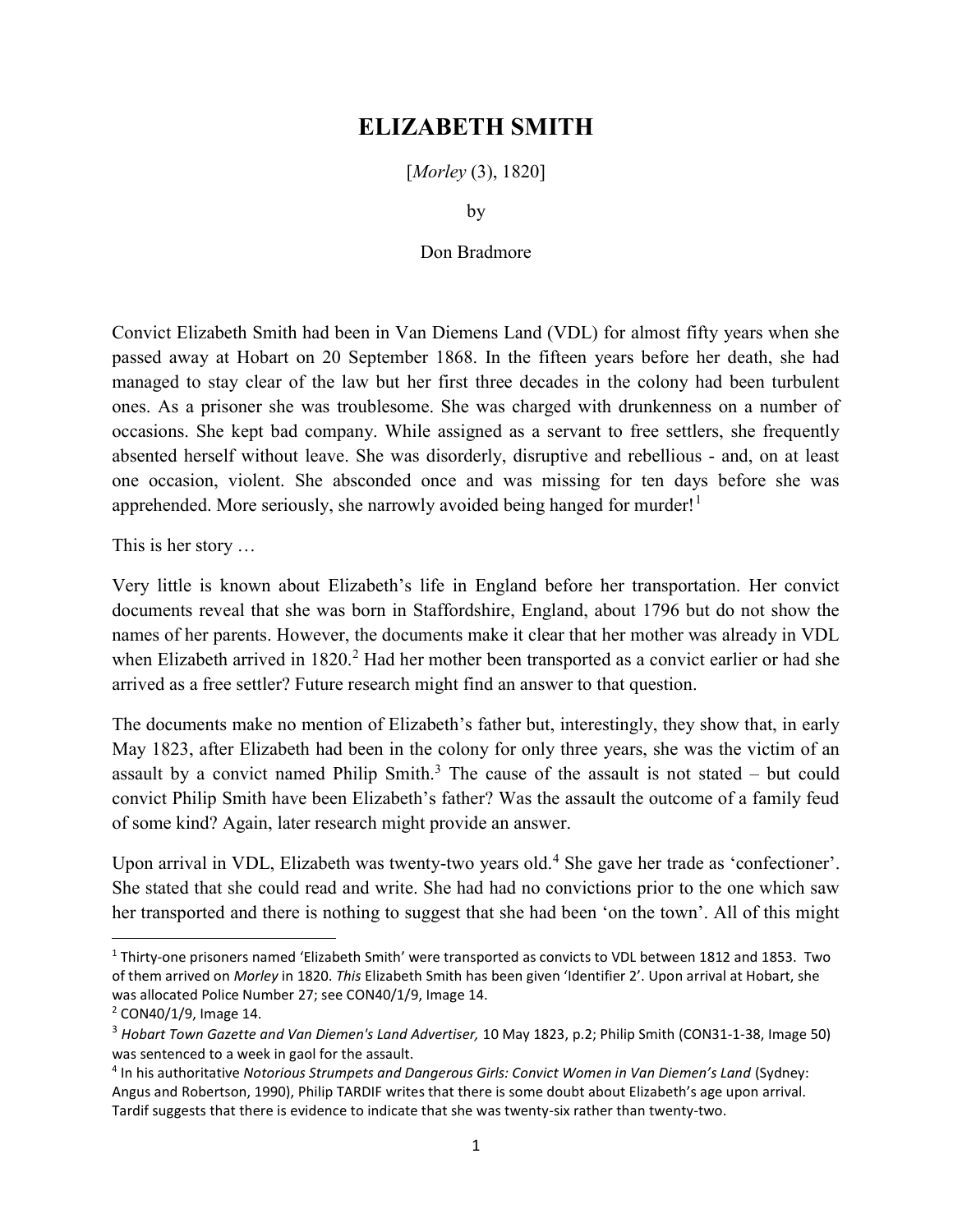## ELIZABETH SMITH

[*Morley* (3), 1820]

by

## Don Bradmore

Convict Elizabeth Smith had been in Van Diemens Land (VDL) for almost fifty years when she passed away at Hobart on 20 September 1868. In the fifteen years before her death, she had managed to stay clear of the law but her first three decades in the colony had been turbulent ones. As a prisoner she was troublesome. She was charged with drunkenness on a number of occasions. She kept bad company. While assigned as a servant to free settlers, she frequently absented herself without leave. She was disorderly, disruptive and rebellious - and, on at least one occasion, violent. She absconded once and was missing for ten days before she was apprehended. More seriously, she narrowly avoided being hanged for murder!<sup>1</sup>

This is her story …

Very little is known about Elizabeth's life in England before her transportation. Her convict documents reveal that she was born in Staffordshire, England, about 1796 but do not show the names of her parents. However, the documents make it clear that her mother was already in VDL when Elizabeth arrived in 1820.<sup>2</sup> Had her mother been transported as a convict earlier or had she arrived as a free settler? Future research might find an answer to that question.

The documents make no mention of Elizabeth's father but, interestingly, they show that, in early May 1823, after Elizabeth had been in the colony for only three years, she was the victim of an assault by a convict named Philip Smith.<sup>3</sup> The cause of the assault is not stated  $-$  but could convict Philip Smith have been Elizabeth's father? Was the assault the outcome of a family feud of some kind? Again, later research might provide an answer.

Upon arrival in VDL, Elizabeth was twenty-two years old.<sup>4</sup> She gave her trade as 'confectioner'. She stated that she could read and write. She had had no convictions prior to the one which saw her transported and there is nothing to suggest that she had been 'on the town'. All of this might

<sup>&</sup>lt;sup>1</sup> Thirty-one prisoners named 'Elizabeth Smith' were transported as convicts to VDL between 1812 and 1853. Two of them arrived on Morley in 1820. This Elizabeth Smith has been given 'Identifier 2'. Upon arrival at Hobart, she was allocated Police Number 27; see CON40/1/9, Image 14.

<sup>&</sup>lt;sup>2</sup> CON40/1/9, Image 14.

<sup>&</sup>lt;sup>3</sup> Hobart Town Gazette and Van Diemen's Land Advertiser, 10 May 1823, p.2; Philip Smith (CON31-1-38, Image 50) was sentenced to a week in gaol for the assault.

<sup>&</sup>lt;sup>4</sup> In his authoritative Notorious Strumpets and Dangerous Girls: Convict Women in Van Diemen's Land (Sydney: Angus and Robertson, 1990), Philip TARDIF writes that there is some doubt about Elizabeth's age upon arrival. Tardif suggests that there is evidence to indicate that she was twenty-six rather than twenty-two.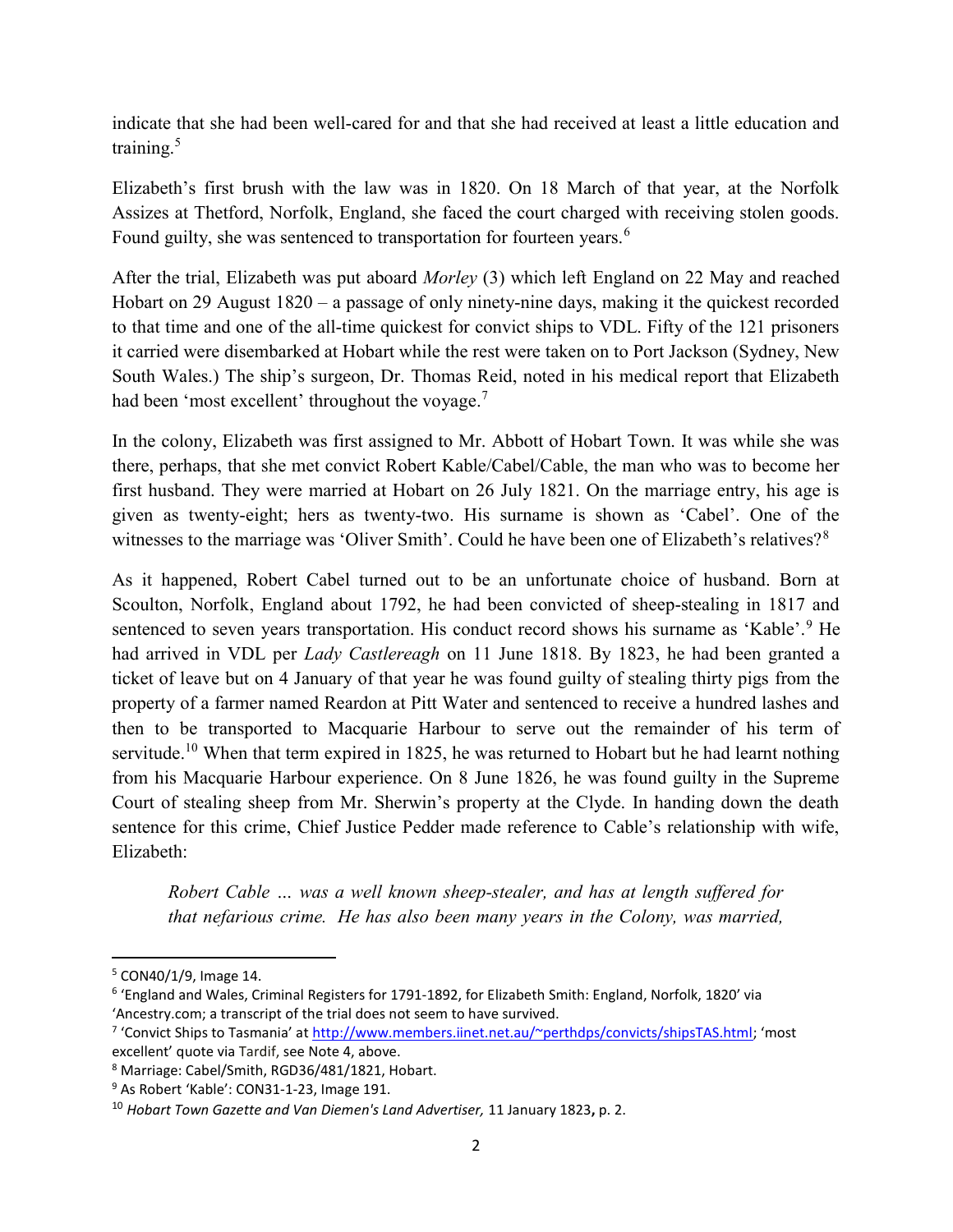indicate that she had been well-cared for and that she had received at least a little education and training.<sup>5</sup>

Elizabeth's first brush with the law was in 1820. On 18 March of that year, at the Norfolk Assizes at Thetford, Norfolk, England, she faced the court charged with receiving stolen goods. Found guilty, she was sentenced to transportation for fourteen years.<sup>6</sup>

After the trial, Elizabeth was put aboard Morley (3) which left England on 22 May and reached Hobart on 29 August 1820 – a passage of only ninety-nine days, making it the quickest recorded to that time and one of the all-time quickest for convict ships to VDL. Fifty of the 121 prisoners it carried were disembarked at Hobart while the rest were taken on to Port Jackson (Sydney, New South Wales.) The ship's surgeon, Dr. Thomas Reid, noted in his medical report that Elizabeth had been 'most excellent' throughout the voyage.<sup>7</sup>

In the colony, Elizabeth was first assigned to Mr. Abbott of Hobart Town. It was while she was there, perhaps, that she met convict Robert Kable/Cabel/Cable, the man who was to become her first husband. They were married at Hobart on 26 July 1821. On the marriage entry, his age is given as twenty-eight; hers as twenty-two. His surname is shown as 'Cabel'. One of the witnesses to the marriage was 'Oliver Smith'. Could he have been one of Elizabeth's relatives?<sup>8</sup>

As it happened, Robert Cabel turned out to be an unfortunate choice of husband. Born at Scoulton, Norfolk, England about 1792, he had been convicted of sheep-stealing in 1817 and sentenced to seven years transportation. His conduct record shows his surname as 'Kable'.<sup>9</sup> He had arrived in VDL per *Lady Castlereagh* on 11 June 1818. By 1823, he had been granted a ticket of leave but on 4 January of that year he was found guilty of stealing thirty pigs from the property of a farmer named Reardon at Pitt Water and sentenced to receive a hundred lashes and then to be transported to Macquarie Harbour to serve out the remainder of his term of servitude.<sup>10</sup> When that term expired in 1825, he was returned to Hobart but he had learnt nothing from his Macquarie Harbour experience. On 8 June 1826, he was found guilty in the Supreme Court of stealing sheep from Mr. Sherwin's property at the Clyde. In handing down the death sentence for this crime, Chief Justice Pedder made reference to Cable's relationship with wife, Elizabeth:

Robert Cable … was a well known sheep-stealer, and has at length suffered for that nefarious crime. He has also been many years in the Colony, was married,

<sup>5</sup> CON40/1/9, Image 14.

<sup>&</sup>lt;sup>6</sup> 'England and Wales, Criminal Registers for 1791-1892, for Elizabeth Smith: England, Norfolk, 1820' via 'Ancestry.com; a transcript of the trial does not seem to have survived.

<sup>&</sup>lt;sup>7</sup> 'Convict Ships to Tasmania' at http://www.members.iinet.net.au/~perthdps/convicts/shipsTAS.html; 'most excellent' quote via Tardif, see Note 4, above.

<sup>8</sup> Marriage: Cabel/Smith, RGD36/481/1821, Hobart.

<sup>&</sup>lt;sup>9</sup> As Robert 'Kable': CON31-1-23, Image 191.

<sup>&</sup>lt;sup>10</sup> Hobart Town Gazette and Van Diemen's Land Advertiser, 11 January 1823, p. 2.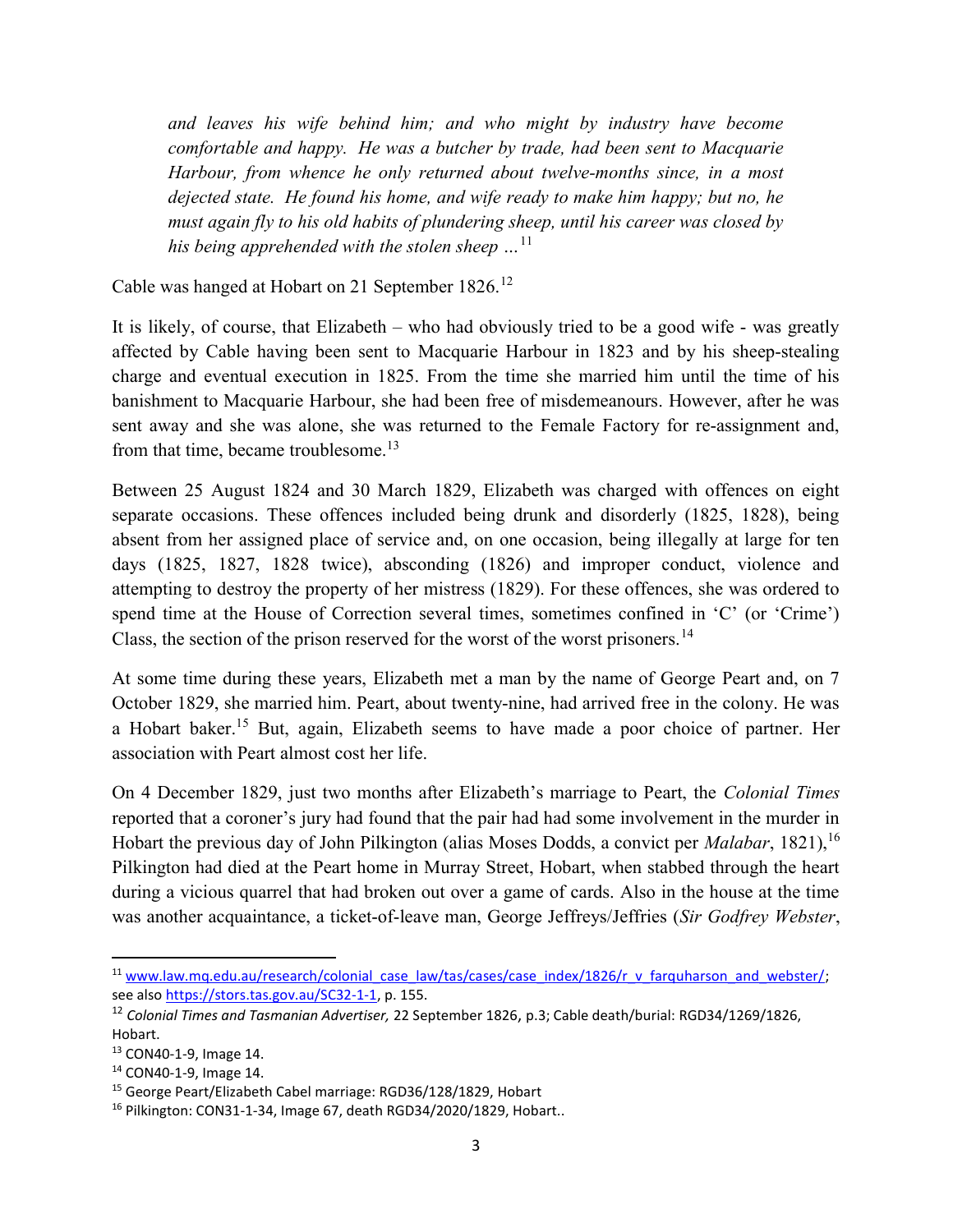and leaves his wife behind him; and who might by industry have become comfortable and happy. He was a butcher by trade, had been sent to Macquarie Harbour, from whence he only returned about twelve-months since, in a most dejected state. He found his home, and wife ready to make him happy; but no, he must again fly to his old habits of plundering sheep, until his career was closed by his being apprehended with the stolen sheep  $\ldots$ <sup>11</sup>

Cable was hanged at Hobart on 21 September 1826.<sup>12</sup>

It is likely, of course, that Elizabeth – who had obviously tried to be a good wife - was greatly affected by Cable having been sent to Macquarie Harbour in 1823 and by his sheep-stealing charge and eventual execution in 1825. From the time she married him until the time of his banishment to Macquarie Harbour, she had been free of misdemeanours. However, after he was sent away and she was alone, she was returned to the Female Factory for re-assignment and, from that time, became troublesome.<sup>13</sup>

Between 25 August 1824 and 30 March 1829, Elizabeth was charged with offences on eight separate occasions. These offences included being drunk and disorderly (1825, 1828), being absent from her assigned place of service and, on one occasion, being illegally at large for ten days (1825, 1827, 1828 twice), absconding (1826) and improper conduct, violence and attempting to destroy the property of her mistress (1829). For these offences, she was ordered to spend time at the House of Correction several times, sometimes confined in 'C' (or 'Crime') Class, the section of the prison reserved for the worst of the worst prisoners.<sup>14</sup>

At some time during these years, Elizabeth met a man by the name of George Peart and, on 7 October 1829, she married him. Peart, about twenty-nine, had arrived free in the colony. He was a Hobart baker.<sup>15</sup> But, again, Elizabeth seems to have made a poor choice of partner. Her association with Peart almost cost her life.

On 4 December 1829, just two months after Elizabeth's marriage to Peart, the Colonial Times reported that a coroner's jury had found that the pair had had some involvement in the murder in Hobart the previous day of John Pilkington (alias Moses Dodds, a convict per *Malabar*, 1821), <sup>16</sup> Pilkington had died at the Peart home in Murray Street, Hobart, when stabbed through the heart during a vicious quarrel that had broken out over a game of cards. Also in the house at the time was another acquaintance, a ticket-of-leave man, George Jeffreys/Jeffries (Sir Godfrey Webster,

<sup>&</sup>lt;sup>11</sup> www.law.mq.edu.au/research/colonial\_case\_law/tas/cases/case\_index/1826/r\_v\_farquharson\_and\_webster/; see also https://stors.tas.gov.au/SC32-1-1, p. 155.

<sup>&</sup>lt;sup>12</sup> Colonial Times and Tasmanian Advertiser, 22 September 1826, p.3; Cable death/burial: RGD34/1269/1826, Hobart.

<sup>13</sup> CON40-1-9, Image 14.

<sup>14</sup> CON40-1-9, Image 14.

<sup>15</sup> George Peart/Elizabeth Cabel marriage: RGD36/128/1829, Hobart

<sup>16</sup> Pilkington: CON31-1-34, Image 67, death RGD34/2020/1829, Hobart..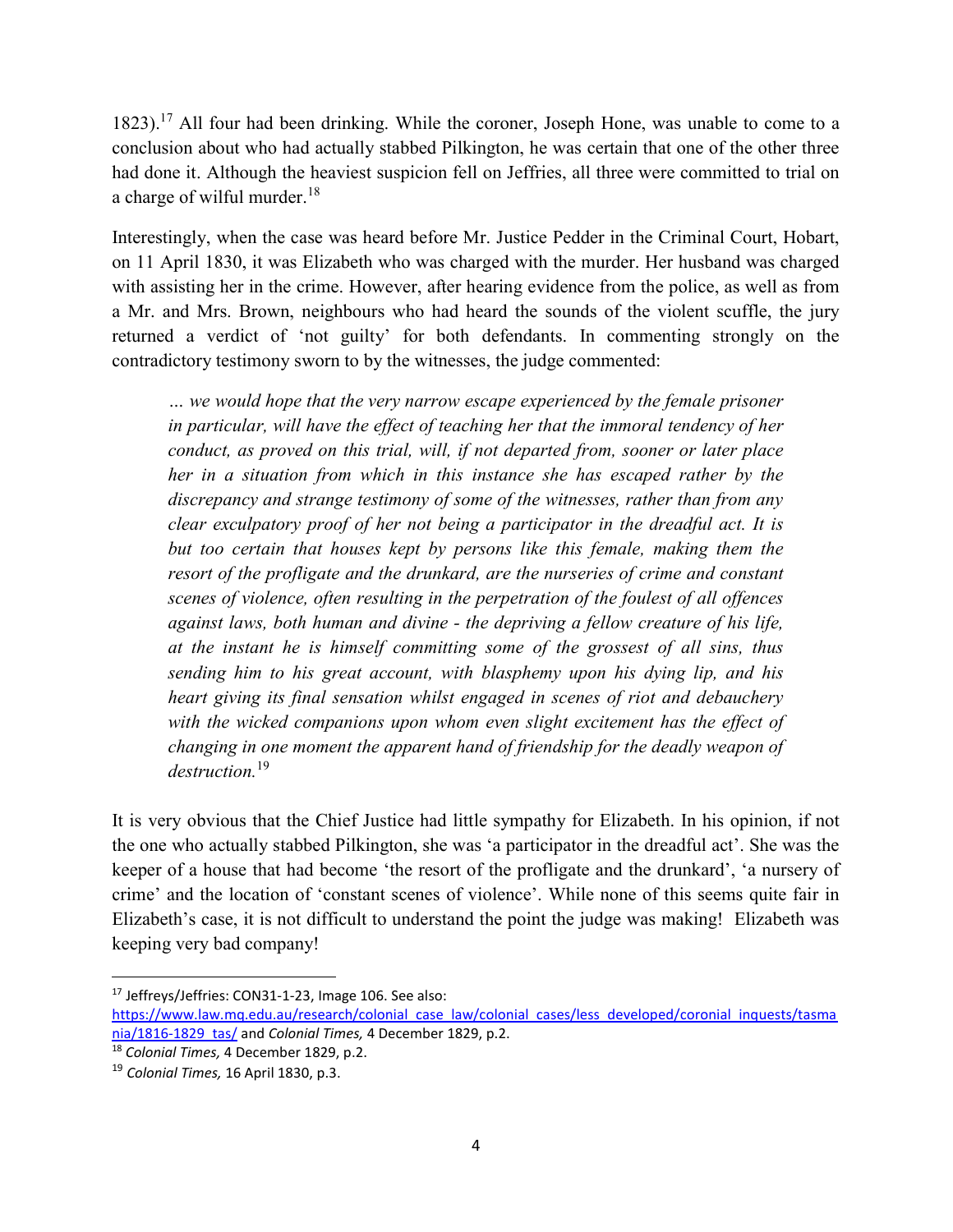1823).<sup>17</sup> All four had been drinking. While the coroner, Joseph Hone, was unable to come to a conclusion about who had actually stabbed Pilkington, he was certain that one of the other three had done it. Although the heaviest suspicion fell on Jeffries, all three were committed to trial on a charge of wilful murder.<sup>18</sup>

Interestingly, when the case was heard before Mr. Justice Pedder in the Criminal Court, Hobart, on 11 April 1830, it was Elizabeth who was charged with the murder. Her husband was charged with assisting her in the crime. However, after hearing evidence from the police, as well as from a Mr. and Mrs. Brown, neighbours who had heard the sounds of the violent scuffle, the jury returned a verdict of 'not guilty' for both defendants. In commenting strongly on the contradictory testimony sworn to by the witnesses, the judge commented:

… we would hope that the very narrow escape experienced by the female prisoner in particular, will have the effect of teaching her that the immoral tendency of her conduct, as proved on this trial, will, if not departed from, sooner or later place her in a situation from which in this instance she has escaped rather by the discrepancy and strange testimony of some of the witnesses, rather than from any clear exculpatory proof of her not being a participator in the dreadful act. It is but too certain that houses kept by persons like this female, making them the resort of the profligate and the drunkard, are the nurseries of crime and constant scenes of violence, often resulting in the perpetration of the foulest of all offences against laws, both human and divine - the depriving a fellow creature of his life, at the instant he is himself committing some of the grossest of all sins, thus sending him to his great account, with blasphemy upon his dying lip, and his heart giving its final sensation whilst engaged in scenes of riot and debauchery with the wicked companions upon whom even slight excitement has the effect of changing in one moment the apparent hand of friendship for the deadly weapon of destruction.<sup>19</sup>

It is very obvious that the Chief Justice had little sympathy for Elizabeth. In his opinion, if not the one who actually stabbed Pilkington, she was 'a participator in the dreadful act'. She was the keeper of a house that had become 'the resort of the profligate and the drunkard', 'a nursery of crime' and the location of 'constant scenes of violence'. While none of this seems quite fair in Elizabeth's case, it is not difficult to understand the point the judge was making! Elizabeth was keeping very bad company!

 $\overline{a}$ 

<sup>17</sup> Jeffreys/Jeffries: CON31-1-23, Image 106. See also:

https://www.law.mq.edu.au/research/colonial\_case\_law/colonial\_cases/less\_developed/coronial\_inquests/tasma nia/1816-1829 tas/ and Colonial Times, 4 December 1829, p.2.

<sup>18</sup> Colonial Times, 4 December 1829, p.2.

 $19$  Colonial Times, 16 April 1830, p.3.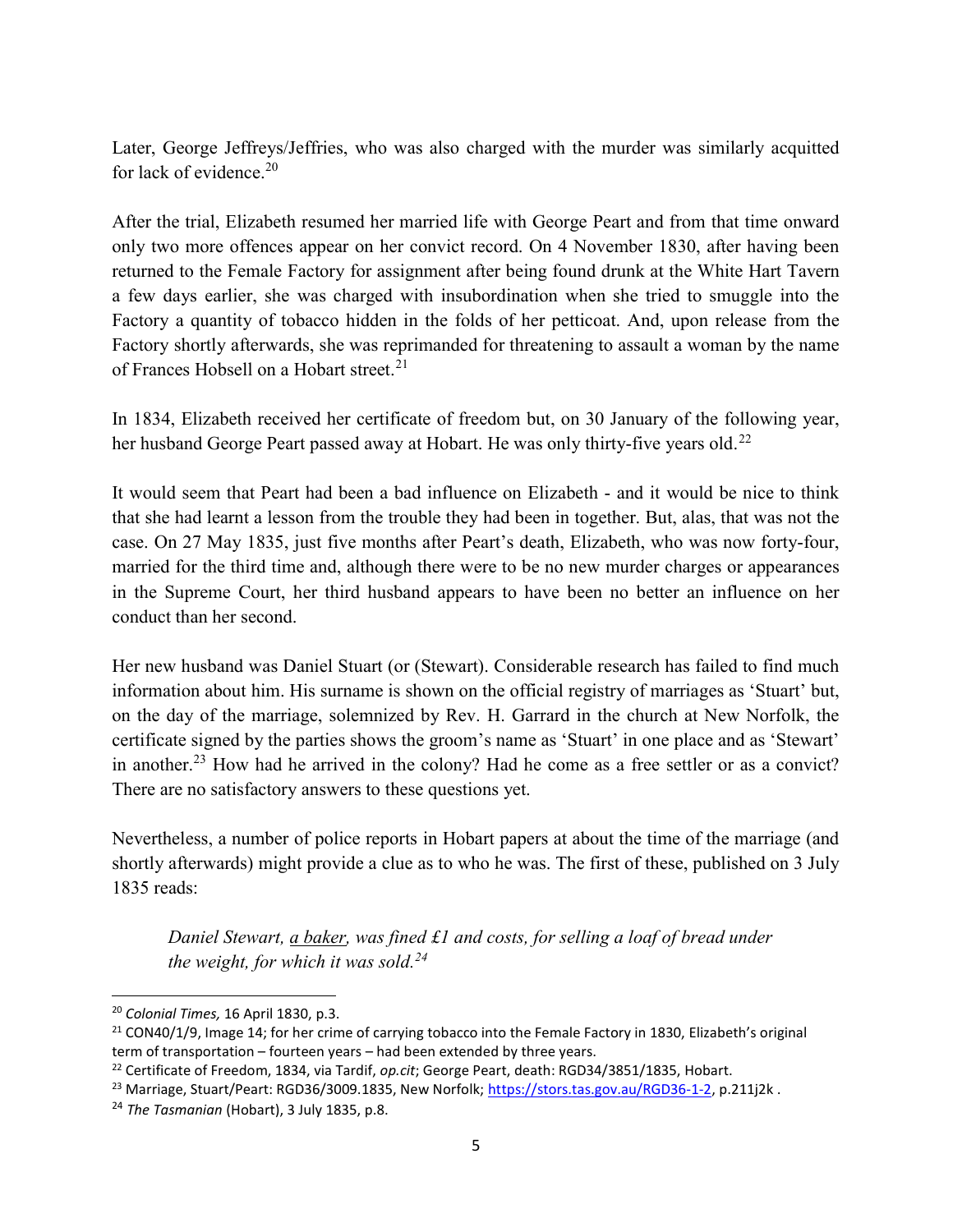Later, George Jeffreys/Jeffries, who was also charged with the murder was similarly acquitted for lack of evidence. $20$ 

After the trial, Elizabeth resumed her married life with George Peart and from that time onward only two more offences appear on her convict record. On 4 November 1830, after having been returned to the Female Factory for assignment after being found drunk at the White Hart Tavern a few days earlier, she was charged with insubordination when she tried to smuggle into the Factory a quantity of tobacco hidden in the folds of her petticoat. And, upon release from the Factory shortly afterwards, she was reprimanded for threatening to assault a woman by the name of Frances Hobsell on a Hobart street.<sup>21</sup>

In 1834, Elizabeth received her certificate of freedom but, on 30 January of the following year, her husband George Peart passed away at Hobart. He was only thirty-five years old.<sup>22</sup>

It would seem that Peart had been a bad influence on Elizabeth - and it would be nice to think that she had learnt a lesson from the trouble they had been in together. But, alas, that was not the case. On 27 May 1835, just five months after Peart's death, Elizabeth, who was now forty-four, married for the third time and, although there were to be no new murder charges or appearances in the Supreme Court, her third husband appears to have been no better an influence on her conduct than her second.

Her new husband was Daniel Stuart (or (Stewart). Considerable research has failed to find much information about him. His surname is shown on the official registry of marriages as 'Stuart' but, on the day of the marriage, solemnized by Rev. H. Garrard in the church at New Norfolk, the certificate signed by the parties shows the groom's name as 'Stuart' in one place and as 'Stewart' in another.<sup>23</sup> How had he arrived in the colony? Had he come as a free settler or as a convict? There are no satisfactory answers to these questions yet.

Nevertheless, a number of police reports in Hobart papers at about the time of the marriage (and shortly afterwards) might provide a clue as to who he was. The first of these, published on 3 July 1835 reads:

Daniel Stewart, a baker, was fined £1 and costs, for selling a loaf of bread under the weight, for which it was sold.<sup>24</sup>

<sup>&</sup>lt;sup>20</sup> Colonial Times, 16 April 1830, p.3.

 $21$  CON40/1/9, Image 14; for her crime of carrying tobacco into the Female Factory in 1830, Elizabeth's original term of transportation – fourteen years – had been extended by three years.

<sup>&</sup>lt;sup>22</sup> Certificate of Freedom, 1834, via Tardif, op.cit; George Peart, death: RGD34/3851/1835, Hobart.

<sup>&</sup>lt;sup>23</sup> Marriage, Stuart/Peart: RGD36/3009.1835, New Norfolk; https://stors.tas.gov.au/RGD36-1-2, p.211j2k.

 $24$  The Tasmanian (Hobart), 3 July 1835, p.8.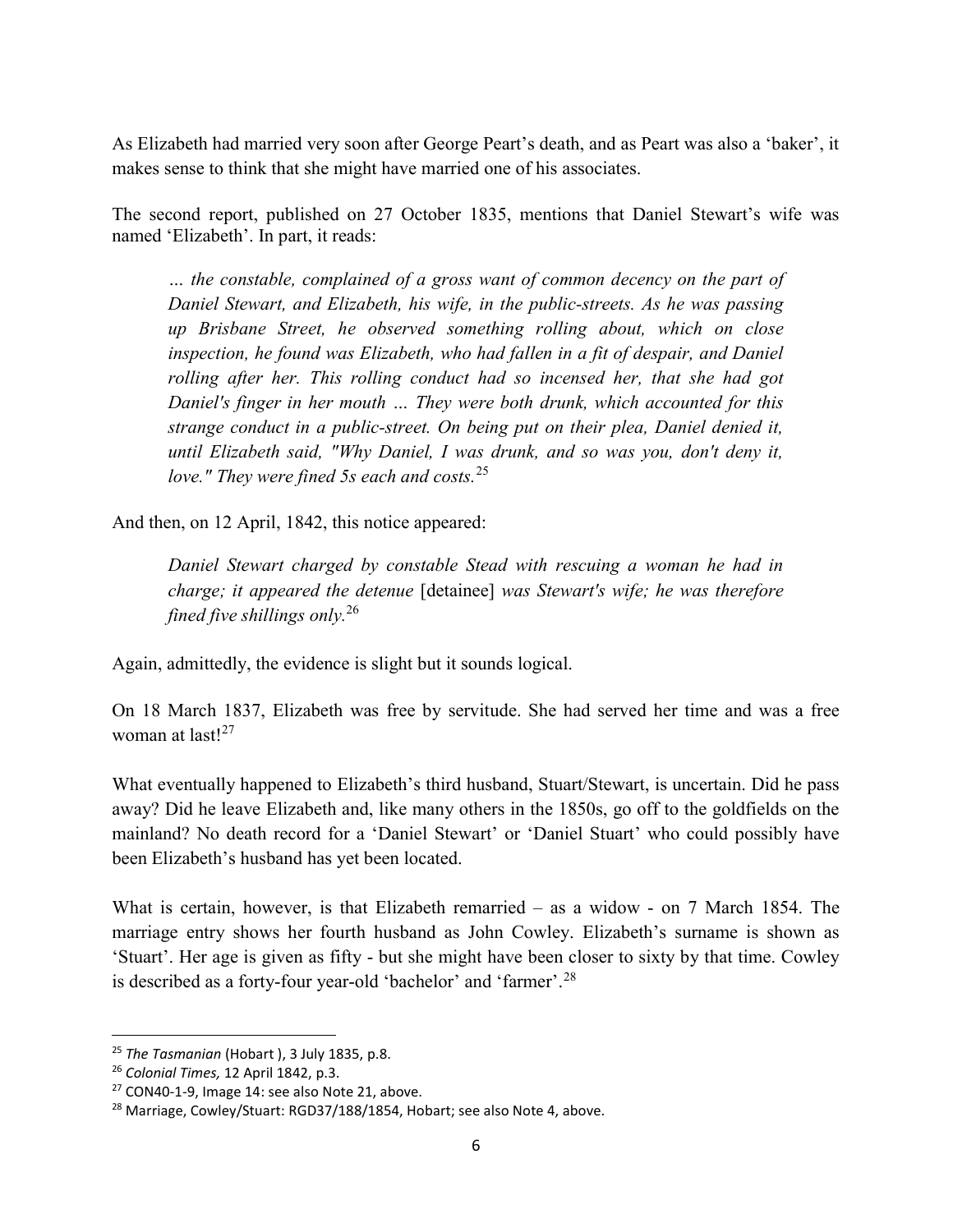As Elizabeth had married very soon after George Peart's death, and as Peart was also a 'baker', it makes sense to think that she might have married one of his associates.

The second report, published on 27 October 1835, mentions that Daniel Stewart's wife was named 'Elizabeth'. In part, it reads:

… the constable, complained of a gross want of common decency on the part of Daniel Stewart, and Elizabeth, his wife, in the public-streets. As he was passing up Brisbane Street, he observed something rolling about, which on close inspection, he found was Elizabeth, who had fallen in a fit of despair, and Daniel rolling after her. This rolling conduct had so incensed her, that she had got Daniel's finger in her mouth … They were both drunk, which accounted for this strange conduct in a public-street. On being put on their plea, Daniel denied it, until Elizabeth said, "Why Daniel, I was drunk, and so was you, don't deny it, love." They were fined 5s each and costs.  $25$ 

And then, on 12 April, 1842, this notice appeared:

Daniel Stewart charged by constable Stead with rescuing a woman he had in charge; it appeared the detenue [detainee] was Stewart's wife; he was therefore fined five shillings only.<sup>26</sup>

Again, admittedly, the evidence is slight but it sounds logical.

On 18 March 1837, Elizabeth was free by servitude. She had served her time and was a free woman at last<sup>127</sup>

What eventually happened to Elizabeth's third husband, Stuart/Stewart, is uncertain. Did he pass away? Did he leave Elizabeth and, like many others in the 1850s, go off to the goldfields on the mainland? No death record for a 'Daniel Stewart' or 'Daniel Stuart' who could possibly have been Elizabeth's husband has yet been located.

What is certain, however, is that Elizabeth remarried – as a widow - on 7 March 1854. The marriage entry shows her fourth husband as John Cowley. Elizabeth's surname is shown as 'Stuart'. Her age is given as fifty - but she might have been closer to sixty by that time. Cowley is described as a forty-four year-old 'bachelor' and 'farmer'.<sup>28</sup>

<sup>&</sup>lt;sup>25</sup> The Tasmanian (Hobart), 3 July 1835, p.8.

<sup>&</sup>lt;sup>26</sup> Colonial Times, 12 April 1842, p.3.

<sup>27</sup> CON40-1-9, Image 14: see also Note 21, above.

<sup>&</sup>lt;sup>28</sup> Marriage, Cowley/Stuart: RGD37/188/1854, Hobart; see also Note 4, above.